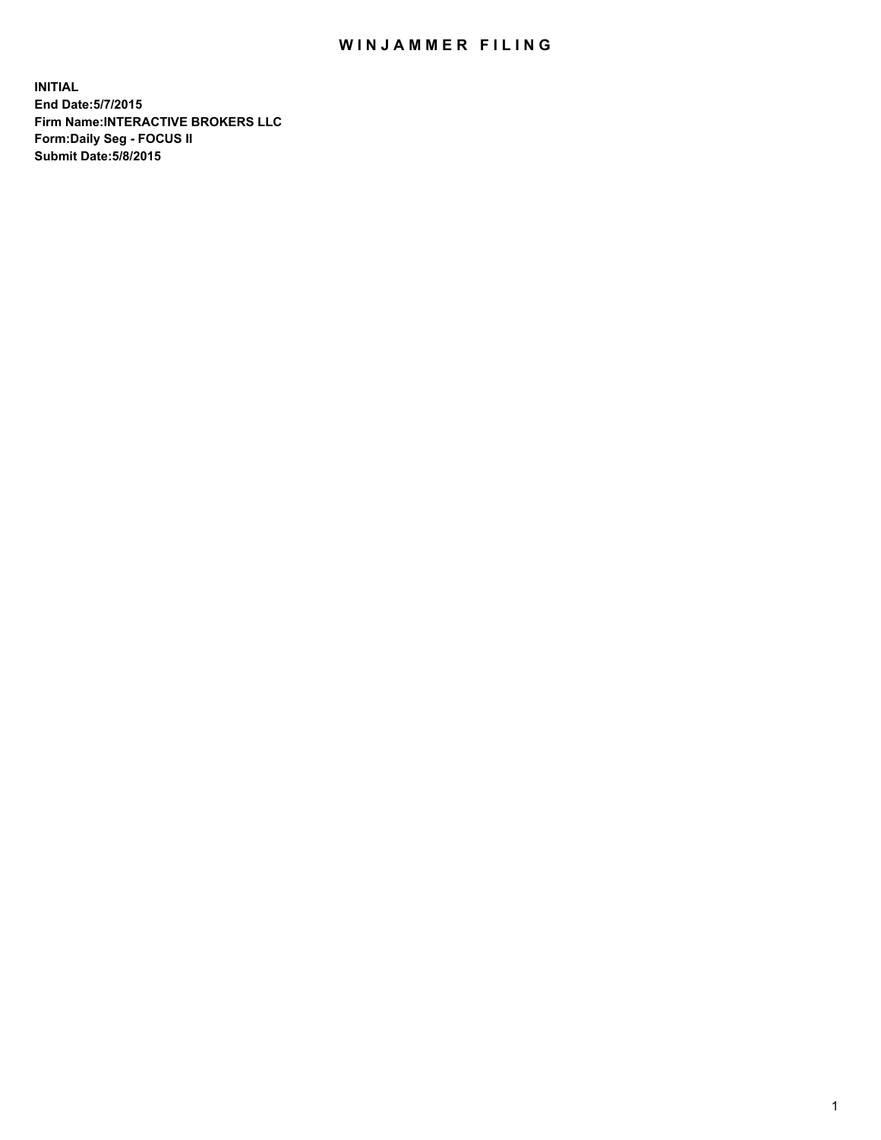## WIN JAMMER FILING

**INITIAL End Date:5/7/2015 Firm Name:INTERACTIVE BROKERS LLC Form:Daily Seg - FOCUS II Submit Date:5/8/2015**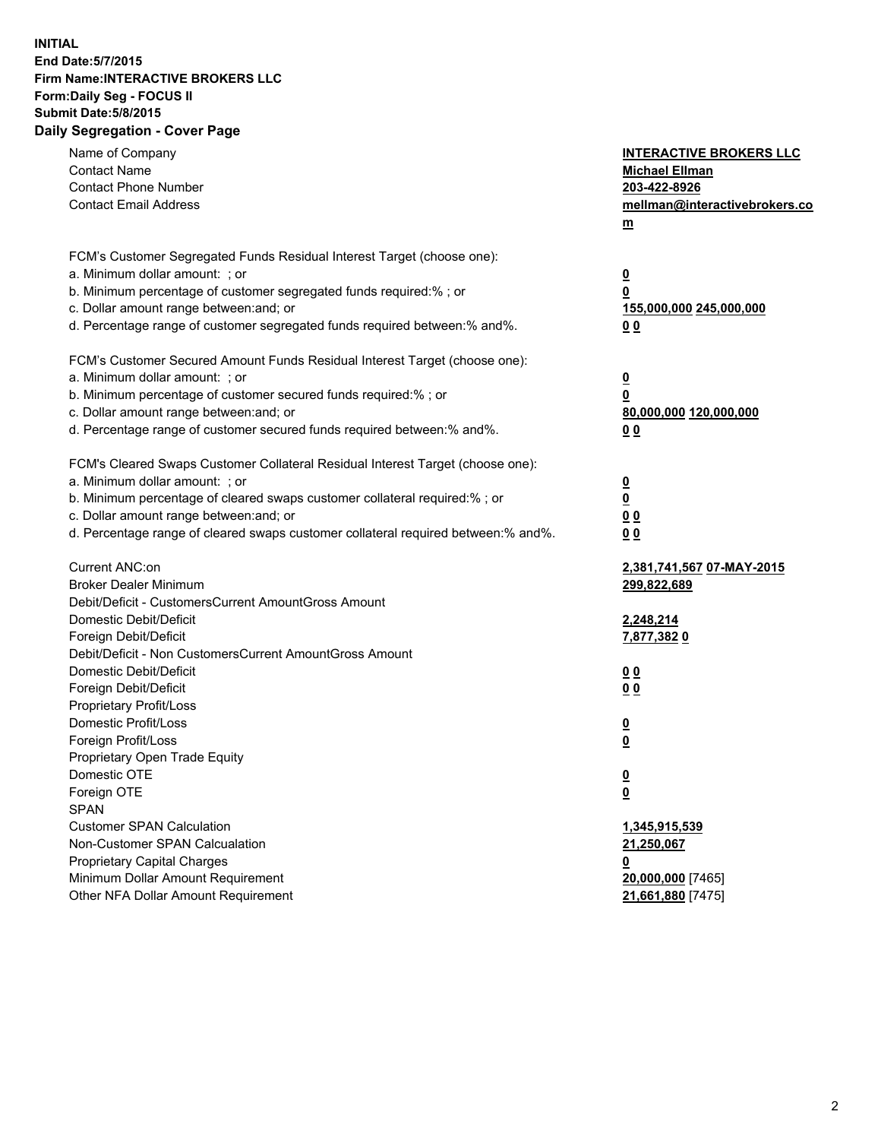## **INITIAL End Date:5/7/2015 Firm Name:INTERACTIVE BROKERS LLC Form:Daily Seg - FOCUS II Submit Date:5/8/2015 Daily Segregation - Cover Page**

| Name of Company<br><b>Contact Name</b><br><b>Contact Phone Number</b><br><b>Contact Email Address</b>    | <b>INTERACTIVE BROKERS LLC</b><br><b>Michael Ellman</b><br>203-422-8926<br>mellman@interactivebrokers.co<br>$\underline{\mathbf{m}}$ |
|----------------------------------------------------------------------------------------------------------|--------------------------------------------------------------------------------------------------------------------------------------|
| FCM's Customer Segregated Funds Residual Interest Target (choose one):<br>a. Minimum dollar amount: ; or |                                                                                                                                      |
| b. Minimum percentage of customer segregated funds required:% ; or                                       | $\overline{\mathbf{0}}$<br>0                                                                                                         |
| c. Dollar amount range between: and; or                                                                  | 155,000,000 245,000,000                                                                                                              |
| d. Percentage range of customer segregated funds required between:% and%.                                | 00                                                                                                                                   |
| FCM's Customer Secured Amount Funds Residual Interest Target (choose one):                               |                                                                                                                                      |
| a. Minimum dollar amount: ; or                                                                           | $\overline{\mathbf{0}}$                                                                                                              |
| b. Minimum percentage of customer secured funds required:% ; or                                          | 0                                                                                                                                    |
| c. Dollar amount range between: and; or                                                                  | 80,000,000 120,000,000                                                                                                               |
| d. Percentage range of customer secured funds required between:% and%.                                   | 00                                                                                                                                   |
| FCM's Cleared Swaps Customer Collateral Residual Interest Target (choose one):                           |                                                                                                                                      |
| a. Minimum dollar amount: ; or                                                                           | $\overline{\mathbf{0}}$                                                                                                              |
| b. Minimum percentage of cleared swaps customer collateral required:% ; or                               | $\underline{\mathbf{0}}$                                                                                                             |
| c. Dollar amount range between: and; or                                                                  | 0 <sub>0</sub>                                                                                                                       |
| d. Percentage range of cleared swaps customer collateral required between:% and%.                        | 0 <sub>0</sub>                                                                                                                       |
| Current ANC:on                                                                                           | 2,381,741,567 07-MAY-2015                                                                                                            |
| <b>Broker Dealer Minimum</b>                                                                             | 299,822,689                                                                                                                          |
| Debit/Deficit - CustomersCurrent AmountGross Amount                                                      |                                                                                                                                      |
| Domestic Debit/Deficit                                                                                   | 2,248,214                                                                                                                            |
| Foreign Debit/Deficit<br>Debit/Deficit - Non CustomersCurrent AmountGross Amount                         | 7,877,3820                                                                                                                           |
| Domestic Debit/Deficit                                                                                   | 0 <sub>0</sub>                                                                                                                       |
| Foreign Debit/Deficit                                                                                    | 0 <sub>0</sub>                                                                                                                       |
| Proprietary Profit/Loss                                                                                  |                                                                                                                                      |
| Domestic Profit/Loss                                                                                     | $\overline{\mathbf{0}}$                                                                                                              |
| Foreign Profit/Loss                                                                                      | $\underline{\mathbf{0}}$                                                                                                             |
| Proprietary Open Trade Equity                                                                            |                                                                                                                                      |
| Domestic OTE                                                                                             | <u>0</u>                                                                                                                             |
| Foreign OTE                                                                                              | <u>0</u>                                                                                                                             |
| <b>SPAN</b>                                                                                              |                                                                                                                                      |
| <b>Customer SPAN Calculation</b>                                                                         | 1,345,915,539                                                                                                                        |
| Non-Customer SPAN Calcualation                                                                           | 21,250,067                                                                                                                           |
| Proprietary Capital Charges                                                                              | <u>0</u>                                                                                                                             |
| Minimum Dollar Amount Requirement                                                                        | 20,000,000 [7465]                                                                                                                    |
| Other NFA Dollar Amount Requirement                                                                      | 21,661,880 [7475]                                                                                                                    |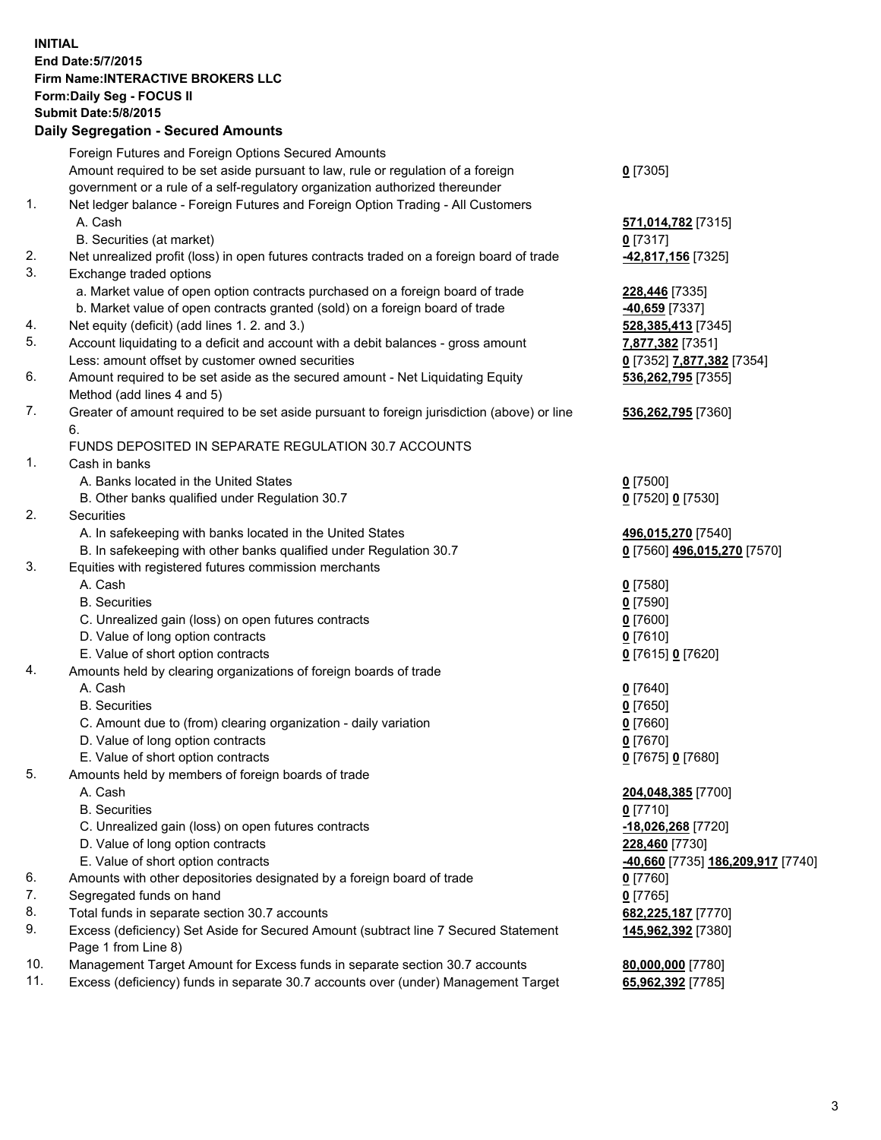## **INITIAL End Date:5/7/2015 Firm Name:INTERACTIVE BROKERS LLC Form:Daily Seg - FOCUS II Submit Date:5/8/2015 Daily Segregation - Secured Amounts**

|     | Foreign Futures and Foreign Options Secured Amounts                                         |                                   |
|-----|---------------------------------------------------------------------------------------------|-----------------------------------|
|     | Amount required to be set aside pursuant to law, rule or regulation of a foreign            | $0$ [7305]                        |
|     | government or a rule of a self-regulatory organization authorized thereunder                |                                   |
| 1.  | Net ledger balance - Foreign Futures and Foreign Option Trading - All Customers             |                                   |
|     | A. Cash                                                                                     | 571,014,782 [7315]                |
|     | B. Securities (at market)                                                                   | $0$ [7317]                        |
| 2.  | Net unrealized profit (loss) in open futures contracts traded on a foreign board of trade   | -42,817,156 [7325]                |
| 3.  | Exchange traded options                                                                     |                                   |
|     | a. Market value of open option contracts purchased on a foreign board of trade              | 228,446 [7335]                    |
|     | b. Market value of open contracts granted (sold) on a foreign board of trade                | -40,659 [7337]                    |
| 4.  | Net equity (deficit) (add lines 1. 2. and 3.)                                               | 528, 385, 413 [7345]              |
| 5.  | Account liquidating to a deficit and account with a debit balances - gross amount           | 7,877,382 [7351]                  |
|     | Less: amount offset by customer owned securities                                            | 0 [7352] 7,877,382 [7354]         |
| 6.  | Amount required to be set aside as the secured amount - Net Liquidating Equity              | 536,262,795 [7355]                |
|     | Method (add lines 4 and 5)                                                                  |                                   |
| 7.  | Greater of amount required to be set aside pursuant to foreign jurisdiction (above) or line | 536,262,795 [7360]                |
|     | 6.                                                                                          |                                   |
|     | FUNDS DEPOSITED IN SEPARATE REGULATION 30.7 ACCOUNTS                                        |                                   |
| 1.  | Cash in banks                                                                               |                                   |
|     | A. Banks located in the United States                                                       | $0$ [7500]                        |
|     | B. Other banks qualified under Regulation 30.7                                              | 0 [7520] 0 [7530]                 |
| 2.  | Securities                                                                                  |                                   |
|     | A. In safekeeping with banks located in the United States                                   | 496,015,270 [7540]                |
|     | B. In safekeeping with other banks qualified under Regulation 30.7                          | 0 [7560] 496,015,270 [7570]       |
| 3.  | Equities with registered futures commission merchants                                       |                                   |
|     | A. Cash                                                                                     | $0$ [7580]                        |
|     | <b>B.</b> Securities                                                                        | $0$ [7590]                        |
|     | C. Unrealized gain (loss) on open futures contracts                                         | $0$ [7600]                        |
|     | D. Value of long option contracts                                                           | $0$ [7610]                        |
|     | E. Value of short option contracts                                                          | 0 [7615] 0 [7620]                 |
| 4.  | Amounts held by clearing organizations of foreign boards of trade                           |                                   |
|     | A. Cash                                                                                     | $Q$ [7640]                        |
|     | <b>B.</b> Securities                                                                        | $0$ [7650]                        |
|     | C. Amount due to (from) clearing organization - daily variation                             | $0$ [7660]                        |
|     | D. Value of long option contracts                                                           | $0$ [7670]                        |
|     | E. Value of short option contracts                                                          | 0 [7675] 0 [7680]                 |
| 5.  | Amounts held by members of foreign boards of trade                                          |                                   |
|     | A. Cash                                                                                     | 204,048,385 [7700]                |
|     | <b>B.</b> Securities                                                                        | $0$ [7710]                        |
|     | C. Unrealized gain (loss) on open futures contracts                                         | -18,026,268 [7720]                |
|     | D. Value of long option contracts                                                           | 228,460 [7730]                    |
|     | E. Value of short option contracts                                                          | -40,660 [7735] 186,209,917 [7740] |
| 6.  | Amounts with other depositories designated by a foreign board of trade                      | $0$ [7760]                        |
| 7.  | Segregated funds on hand                                                                    | $0$ [7765]                        |
| 8.  | Total funds in separate section 30.7 accounts                                               | 682,225,187 [7770]                |
| 9.  | Excess (deficiency) Set Aside for Secured Amount (subtract line 7 Secured Statement         | 145,962,392 [7380]                |
|     | Page 1 from Line 8)                                                                         |                                   |
| 10. | Management Target Amount for Excess funds in separate section 30.7 accounts                 | 80,000,000 [7780]                 |
| 11. | Excess (deficiency) funds in separate 30.7 accounts over (under) Management Target          | 65,962,392 [7785]                 |
|     |                                                                                             |                                   |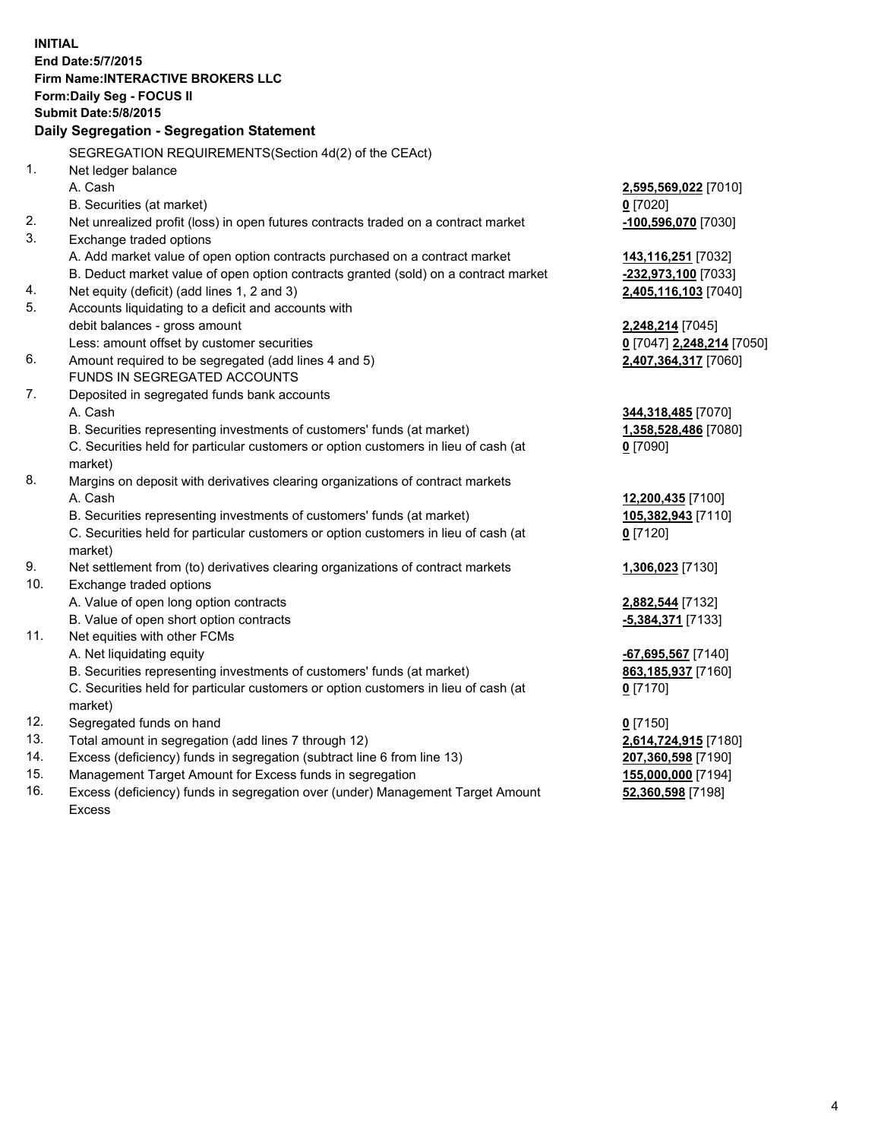**INITIAL End Date:5/7/2015 Firm Name:INTERACTIVE BROKERS LLC Form:Daily Seg - FOCUS II Submit Date:5/8/2015 Daily Segregation - Segregation Statement** SEGREGATION REQUIREMENTS(Section 4d(2) of the CEAct) 1. Net ledger balance A. Cash **2,595,569,022** [7010] B. Securities (at market) **0** [7020] 2. Net unrealized profit (loss) in open futures contracts traded on a contract market **-100,596,070** [7030] 3. Exchange traded options A. Add market value of open option contracts purchased on a contract market **143,116,251** [7032] B. Deduct market value of open option contracts granted (sold) on a contract market **-232,973,100** [7033] 4. Net equity (deficit) (add lines 1, 2 and 3) **2,405,116,103** [7040] 5. Accounts liquidating to a deficit and accounts with debit balances - gross amount **2,248,214** [7045] Less: amount offset by customer securities **0** [7047] **2,248,214** [7050] 6. Amount required to be segregated (add lines 4 and 5) **2,407,364,317** [7060] FUNDS IN SEGREGATED ACCOUNTS 7. Deposited in segregated funds bank accounts A. Cash **344,318,485** [7070] B. Securities representing investments of customers' funds (at market) **1,358,528,486** [7080] C. Securities held for particular customers or option customers in lieu of cash (at market) **0** [7090] 8. Margins on deposit with derivatives clearing organizations of contract markets A. Cash **12,200,435** [7100] B. Securities representing investments of customers' funds (at market) **105,382,943** [7110] C. Securities held for particular customers or option customers in lieu of cash (at market) **0** [7120] 9. Net settlement from (to) derivatives clearing organizations of contract markets **1,306,023** [7130] 10. Exchange traded options A. Value of open long option contracts **2,882,544** [7132] B. Value of open short option contracts **-5,384,371** [7133] 11. Net equities with other FCMs A. Net liquidating equity **-67,695,567** [7140] B. Securities representing investments of customers' funds (at market) **863,185,937** [7160] C. Securities held for particular customers or option customers in lieu of cash (at market) **0** [7170] 12. Segregated funds on hand **0** [7150] 13. Total amount in segregation (add lines 7 through 12) **2,614,724,915** [7180] 14. Excess (deficiency) funds in segregation (subtract line 6 from line 13) **207,360,598** [7190] 15. Management Target Amount for Excess funds in segregation **155,000,000** [7194]

16. Excess (deficiency) funds in segregation over (under) Management Target Amount Excess

**52,360,598** [7198]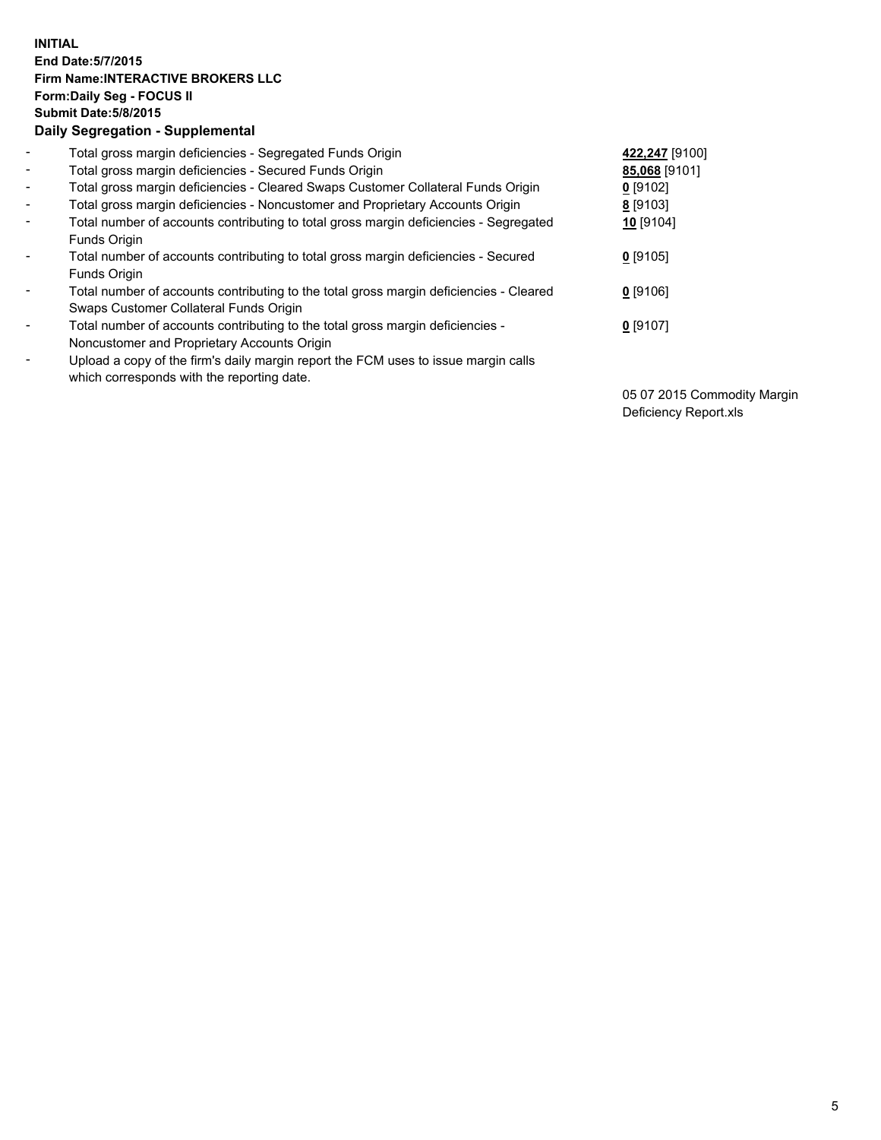## **INITIAL End Date:5/7/2015 Firm Name:INTERACTIVE BROKERS LLC Form:Daily Seg - FOCUS II Submit Date:5/8/2015 Daily Segregation - Supplemental**

| $\blacksquare$           | Total gross margin deficiencies - Segregated Funds Origin                              | 422,247 [9100] |
|--------------------------|----------------------------------------------------------------------------------------|----------------|
| $\sim$                   | Total gross margin deficiencies - Secured Funds Origin                                 | 85,068 [9101]  |
| $\blacksquare$           | Total gross margin deficiencies - Cleared Swaps Customer Collateral Funds Origin       | $0$ [9102]     |
| $\blacksquare$           | Total gross margin deficiencies - Noncustomer and Proprietary Accounts Origin          | 8 [9103]       |
| $\blacksquare$           | Total number of accounts contributing to total gross margin deficiencies - Segregated  | 10 [9104]      |
|                          | Funds Origin                                                                           |                |
| $\blacksquare$           | Total number of accounts contributing to total gross margin deficiencies - Secured     | $0$ [9105]     |
|                          | <b>Funds Origin</b>                                                                    |                |
| $\blacksquare$           | Total number of accounts contributing to the total gross margin deficiencies - Cleared | $0$ [9106]     |
|                          | Swaps Customer Collateral Funds Origin                                                 |                |
| $\overline{\phantom{a}}$ | Total number of accounts contributing to the total gross margin deficiencies -         | $0$ [9107]     |
|                          | Noncustomer and Proprietary Accounts Origin                                            |                |
| $\overline{\phantom{a}}$ | Upload a copy of the firm's daily margin report the FCM uses to issue margin calls     |                |
|                          | which corresponds with the reporting date.                                             |                |

05 07 2015 Commodity Margin Deficiency Report.xls